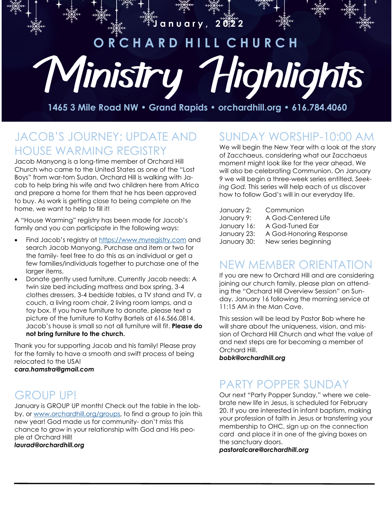

**1465 3 Mile Road NW • Grand Rapids • orchardhill.org • 616.784.4060**

# JACOB'S JOURNEY: UPDATE AND HOUSE WARMING REGISTRY

Jacob Manyong is a long-time member of Orchard Hill Church who came to the United States as one of the "Lost Boys" from war-torn Sudan. Orchard Hill is walking with Jacob to help bring his wife and two children here from Africa and prepare a home for them that he has been approved to buy. As work is getting close to being complete on the home, we want to help to fill it!

A "House Warming" registry has been made for Jacob's family and you can participate in the following ways:

- Find Jacob's registry at <https://www.myregistry.com> and search Jacob Manyong. Purchase and item or two for the family- feel free to do this as an individual or get a few families/individuals together to purchase one of the larger items.
- Donate gently used furniture. Currently Jacob needs: A twin size bed including mattress and box spring, 3-4 clothes dressers, 3-4 bedside tables, a TV stand and TV, a couch, a living room chair, 2 living room lamps, and a toy box. If you have furniture to donate, please text a picture of the furniture to Kathy Bartels at 616.566.0814. Jacob's house is small so not all furniture will fit. **Please do not bring furniture to the church.**

Thank you for supporting Jacob and his family! Please pray for the family to have a smooth and swift process of being relocated to the USA!

#### *[cara.hamstra@gmail.com](mailto:cara.hamstra@gmail.com)*

# GROUP UP!

January is GROUP UP month! Check out the table in the lobby, or [www.orchardhill.org/groups,](http://www.orchardhill.org/groups) to find a group to join this new year! God made us for community- don't miss this chance to grow in your relationship with God and His people at Orchard Hill! *[laurad@orchardhill.org](mailto:laurad@orchardhill.org)*

# SUNDAY WORSHIP-10:00 AM

We will begin the New Year with a look at the story of Zacchaeus, considering what our Zacchaeus moment might look like for the year ahead. We will also be celebrating Communion. On January 9 we will begin a three-week series entitled, *Seeking God.* This series will help each of us discover how to follow God's will in our everyday life.

| January 2:  | Communion               |
|-------------|-------------------------|
| January 9:  | A God-Centered Life     |
| January 16: | A God-Tuned Ear         |
| January 23: | A God-Honoring Response |
| January 30: | New series beginning    |

#### NEW MEMBER ORIENTATION

If you are new to Orchard Hill and are considering joining our church family, please plan on attending the "Orchard Hill Overview Session" on Sunday, January 16 following the morning service at 11:15 AM in the Man Cave.

This session will be lead by Pastor Bob where he will share about the uniqueness, vision, and mission of Orchard Hill Church and what the value of and next steps are for becoming a member of Orchard Hill.

*[bobk@orchardhill.org](mailto:bobk@orchardhill.org)*

# PARTY POPPER SUNDAY

Our next "Party Popper Sunday," where we celebrate new life in Jesus, is scheduled for February 20. If you are interested in infant baptism, making your profession of faith in Jesus or transferring your membership to OHC, sign up on the connection card and place it in one of the giving boxes on the sanctuary doors.

*pastoralcare@orchardhill.org*